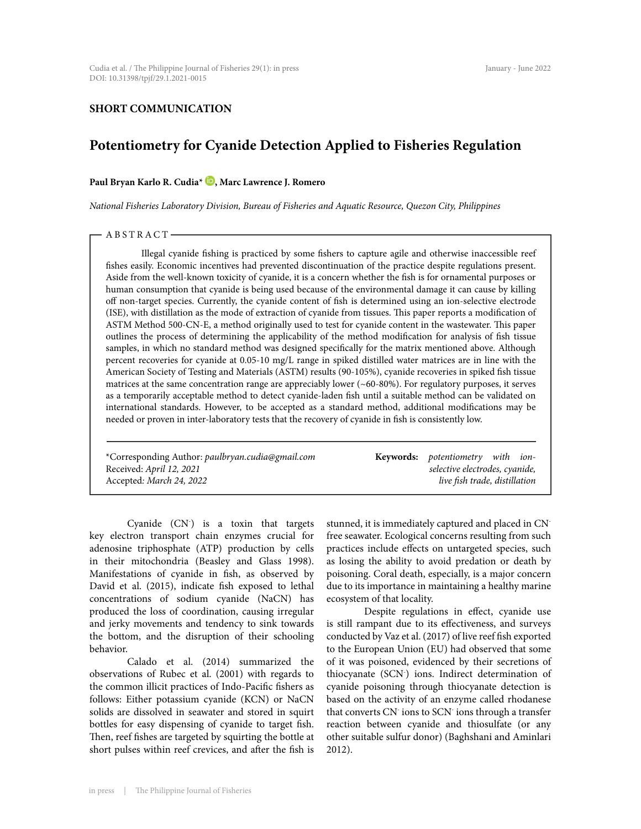## **SHORT COMMUNICATION**

# **Potentiometry for Cyanide Detection Applied to Fisheries Regulation**

## Paul Bryan Karlo R. Cudia<sup>\*</sup> **D**, Marc Lawrence J. Romero

*National Fisheries Laboratory Division, Bureau of Fisheries and Aquatic Resource, Quezon City, Philippines*

#### - ABSTRACT-

Illegal cyanide fishing is practiced by some fishers to capture agile and otherwise inaccessible reef fishes easily. Economic incentives had prevented discontinuation of the practice despite regulations present. Aside from the well-known toxicity of cyanide, it is a concern whether the fish is for ornamental purposes or human consumption that cyanide is being used because of the environmental damage it can cause by killing off non-target species. Currently, the cyanide content of fish is determined using an ion-selective electrode (ISE), with distillation as the mode of extraction of cyanide from tissues. This paper reports a modification of ASTM Method 500-CN-E, a method originally used to test for cyanide content in the wastewater. This paper outlines the process of determining the applicability of the method modification for analysis of fish tissue samples, in which no standard method was designed specifically for the matrix mentioned above. Although percent recoveries for cyanide at 0.05-10 mg/L range in spiked distilled water matrices are in line with the American Society of Testing and Materials (ASTM) results (90-105%), cyanide recoveries in spiked fish tissue matrices at the same concentration range are appreciably lower (~60-80%). For regulatory purposes, it serves as a temporarily acceptable method to detect cyanide-laden fish until a suitable method can be validated on international standards. However, to be accepted as a standard method, additional modifications may be needed or proven in inter-laboratory tests that the recovery of cyanide in fish is consistently low.

| *Corresponding Author: paulbryan.cudia@gmail.com | <b>Keywords:</b> potentiometry with ion- |  |  |
|--------------------------------------------------|------------------------------------------|--|--|
| Received: April 12, 2021                         | selective electrodes, cyanide,           |  |  |
| Accepted: March 24, 2022                         | live fish trade, distillation            |  |  |

Cyanide (CN- ) is a toxin that targets key electron transport chain enzymes crucial for adenosine triphosphate (ATP) production by cells in their mitochondria (Beasley and Glass 1998). Manifestations of cyanide in fish, as observed by David et al. (2015), indicate fish exposed to lethal concentrations of sodium cyanide (NaCN) has produced the loss of coordination, causing irregular and jerky movements and tendency to sink towards the bottom, and the disruption of their schooling behavior.

Calado et al. (2014) summarized the observations of Rubec et al. (2001) with regards to the common illicit practices of Indo-Pacific fishers as follows: Either potassium cyanide (KCN) or NaCN solids are dissolved in seawater and stored in squirt bottles for easy dispensing of cyanide to target fish. Then, reef fishes are targeted by squirting the bottle at short pulses within reef crevices, and after the fish is stunned, it is immediately captured and placed in CNfree seawater. Ecological concerns resulting from such practices include effects on untargeted species, such as losing the ability to avoid predation or death by poisoning. Coral death, especially, is a major concern due to its importance in maintaining a healthy marine ecosystem of that locality.

Despite regulations in effect, cyanide use is still rampant due to its effectiveness, and surveys conducted by Vaz et al. (2017) of live reef fish exported to the European Union (EU) had observed that some of it was poisoned, evidenced by their secretions of thiocyanate (SCN- ) ions. Indirect determination of cyanide poisoning through thiocyanate detection is based on the activity of an enzyme called rhodanese that converts CN- ions to SCN- ions through a transfer reaction between cyanide and thiosulfate (or any other suitable sulfur donor) (Baghshani and Aminlari 2012).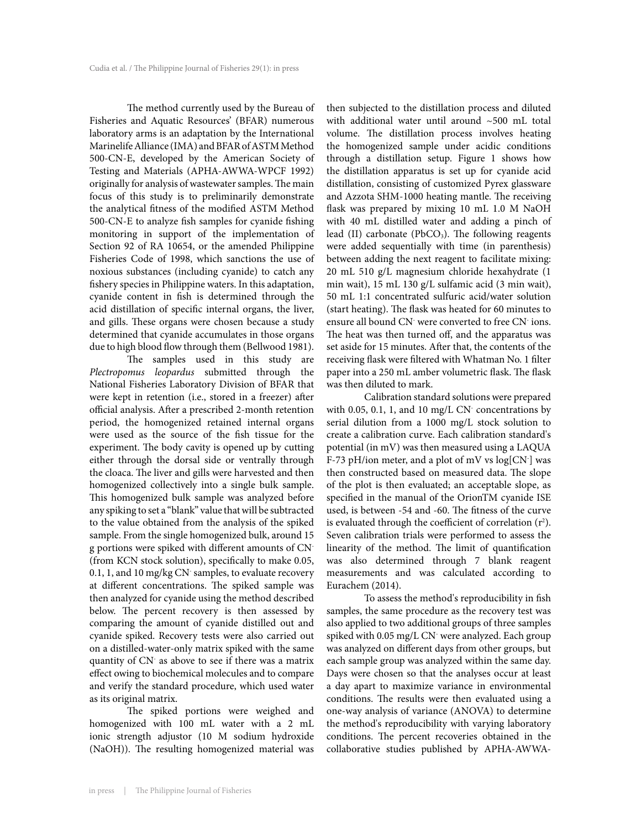The method currently used by the Bureau of Fisheries and Aquatic Resources' (BFAR) numerous laboratory arms is an adaptation by the International Marinelife Alliance (IMA) and BFAR of ASTM Method 500-CN-E, developed by the American Society of Testing and Materials (APHA-AWWA-WPCF 1992) originally for analysis of wastewater samples. The main focus of this study is to preliminarily demonstrate the analytical fitness of the modified ASTM Method 500-CN-E to analyze fish samples for cyanide fishing monitoring in support of the implementation of Section 92 of RA 10654, or the amended Philippine Fisheries Code of 1998, which sanctions the use of noxious substances (including cyanide) to catch any fishery species in Philippine waters. In this adaptation, cyanide content in fish is determined through the acid distillation of specific internal organs, the liver, and gills. These organs were chosen because a study determined that cyanide accumulates in those organs due to high blood flow through them (Bellwood 1981).

The samples used in this study are *Plectropomus leopardus* submitted through the National Fisheries Laboratory Division of BFAR that were kept in retention (i.e., stored in a freezer) after official analysis. After a prescribed 2-month retention period, the homogenized retained internal organs were used as the source of the fish tissue for the experiment. The body cavity is opened up by cutting either through the dorsal side or ventrally through the cloaca. The liver and gills were harvested and then homogenized collectively into a single bulk sample. This homogenized bulk sample was analyzed before any spiking to set a "blank" value that will be subtracted to the value obtained from the analysis of the spiked sample. From the single homogenized bulk, around 15 g portions were spiked with different amounts of CN- (from KCN stock solution), specifically to make 0.05, 0.1, 1, and 10 mg/kg CN- samples, to evaluate recovery at different concentrations. The spiked sample was then analyzed for cyanide using the method described below. The percent recovery is then assessed by comparing the amount of cyanide distilled out and cyanide spiked. Recovery tests were also carried out on a distilled-water-only matrix spiked with the same quantity of CN- as above to see if there was a matrix effect owing to biochemical molecules and to compare and verify the standard procedure, which used water as its original matrix.

The spiked portions were weighed and homogenized with 100 mL water with a 2 mL ionic strength adjustor (10 M sodium hydroxide (NaOH)). The resulting homogenized material was

then subjected to the distillation process and diluted with additional water until around ~500 mL total volume. The distillation process involves heating the homogenized sample under acidic conditions through a distillation setup. Figure 1 shows how the distillation apparatus is set up for cyanide acid distillation, consisting of customized Pyrex glassware and Azzota SHM-1000 heating mantle. The receiving flask was prepared by mixing 10 mL 1.0 M NaOH with 40 mL distilled water and adding a pinch of lead (II) carbonate (PbCO<sub>3</sub>). The following reagents were added sequentially with time (in parenthesis) between adding the next reagent to facilitate mixing: 20 mL 510 g/L magnesium chloride hexahydrate (1 min wait), 15 mL 130 g/L sulfamic acid (3 min wait), 50 mL 1:1 concentrated sulfuric acid/water solution (start heating). The flask was heated for 60 minutes to ensure all bound CN- were converted to free CN- ions. The heat was then turned off, and the apparatus was set aside for 15 minutes. After that, the contents of the receiving flask were filtered with Whatman No. 1 filter paper into a 250 mL amber volumetric flask. The flask was then diluted to mark.

Calibration standard solutions were prepared with 0.05, 0.1, 1, and 10 mg/L CN<sup>-</sup> concentrations by serial dilution from a 1000 mg/L stock solution to create a calibration curve. Each calibration standard's potential (in mV) was then measured using a LAQUA F-73 pH/ion meter, and a plot of mV vs  $log[CN]$  was then constructed based on measured data. The slope of the plot is then evaluated; an acceptable slope, as specified in the manual of the OrionTM cyanide ISE used, is between -54 and -60. The fitness of the curve is evaluated through the coefficient of correlation  $(r^2)$ . Seven calibration trials were performed to assess the linearity of the method. The limit of quantification was also determined through 7 blank reagent measurements and was calculated according to Eurachem (2014).

To assess the method's reproducibility in fish samples, the same procedure as the recovery test was also applied to two additional groups of three samples spiked with 0.05 mg/L CN- were analyzed. Each group was analyzed on different days from other groups, but each sample group was analyzed within the same day. Days were chosen so that the analyses occur at least a day apart to maximize variance in environmental conditions. The results were then evaluated using a one-way analysis of variance (ANOVA) to determine the method's reproducibility with varying laboratory conditions. The percent recoveries obtained in the collaborative studies published by APHA-AWWA-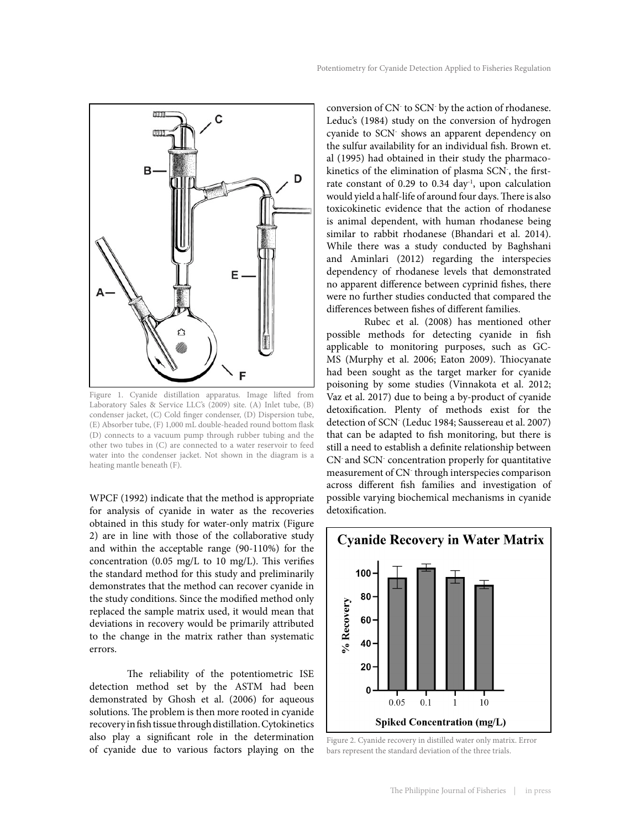

Figure 1. Cyanide distillation apparatus. Image lifted from Laboratory Sales & Service LLC's (2009) site. (A) Inlet tube, (B) condenser jacket, (C) Cold finger condenser, (D) Dispersion tube, (E) Absorber tube, (F) 1,000 mL double-headed round bottom flask (D) connects to a vacuum pump through rubber tubing and the other two tubes in (C) are connected to a water reservoir to feed water into the condenser jacket. Not shown in the diagram is a heating mantle beneath (F).

WPCF (1992) indicate that the method is appropriate for analysis of cyanide in water as the recoveries obtained in this study for water-only matrix (Figure 2) are in line with those of the collaborative study and within the acceptable range (90-110%) for the concentration (0.05 mg/L to 10 mg/L). This verifies the standard method for this study and preliminarily demonstrates that the method can recover cyanide in the study conditions. Since the modified method only replaced the sample matrix used, it would mean that deviations in recovery would be primarily attributed to the change in the matrix rather than systematic errors.

The reliability of the potentiometric ISE detection method set by the ASTM had been demonstrated by Ghosh et al. (2006) for aqueous solutions. The problem is then more rooted in cyanide recovery in fish tissue through distillation. Cytokinetics also play a significant role in the determination of cyanide due to various factors playing on the

conversion of CN- to SCN- by the action of rhodanese. Leduc's (1984) study on the conversion of hydrogen cyanide to SCN- shows an apparent dependency on the sulfur availability for an individual fish. Brown et. al (1995) had obtained in their study the pharmacokinetics of the elimination of plasma SCN- , the firstrate constant of 0.29 to 0.34 day<sup>-1</sup>, upon calculation would yield a half-life of around four days. There is also toxicokinetic evidence that the action of rhodanese is animal dependent, with human rhodanese being similar to rabbit rhodanese (Bhandari et al. 2014). While there was a study conducted by Baghshani and Aminlari (2012) regarding the interspecies dependency of rhodanese levels that demonstrated no apparent difference between cyprinid fishes, there were no further studies conducted that compared the differences between fishes of different families.

Rubec et al. (2008) has mentioned other possible methods for detecting cyanide in fish applicable to monitoring purposes, such as GC-MS (Murphy et al. 2006; Eaton 2009). Thiocyanate had been sought as the target marker for cyanide poisoning by some studies (Vinnakota et al. 2012; Vaz et al. 2017) due to being a by-product of cyanide detoxification. Plenty of methods exist for the detection of SCN- (Leduc 1984; Saussereau et al. 2007) that can be adapted to fish monitoring, but there is still a need to establish a definite relationship between CN- and SCN- concentration properly for quantitative measurement of CN- through interspecies comparison across different fish families and investigation of possible varying biochemical mechanisms in cyanide detoxification.



Figure 2. Cyanide recovery in distilled water only matrix. Error bars represent the standard deviation of the three trials.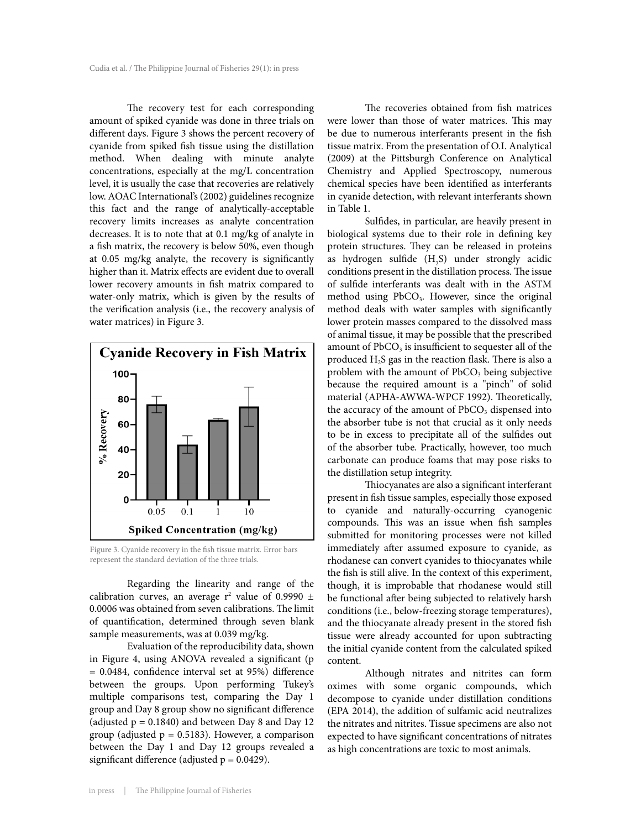The recovery test for each corresponding amount of spiked cyanide was done in three trials on different days. Figure 3 shows the percent recovery of cyanide from spiked fish tissue using the distillation method. When dealing with minute analyte concentrations, especially at the mg/L concentration level, it is usually the case that recoveries are relatively low. AOAC International's (2002) guidelines recognize this fact and the range of analytically-acceptable recovery limits increases as analyte concentration decreases. It is to note that at 0.1 mg/kg of analyte in a fish matrix, the recovery is below 50%, even though at 0.05 mg/kg analyte, the recovery is significantly higher than it. Matrix effects are evident due to overall lower recovery amounts in fish matrix compared to water-only matrix, which is given by the results of the verification analysis (i.e., the recovery analysis of water matrices) in Figure 3.



Figure 3. Cyanide recovery in the fish tissue matrix. Error bars represent the standard deviation of the three trials.

Regarding the linearity and range of the calibration curves, an average  $r^2$  value of 0.9990  $\pm$ 0.0006 was obtained from seven calibrations. The limit of quantification, determined through seven blank sample measurements, was at 0.039 mg/kg.

Evaluation of the reproducibility data, shown in Figure 4, using ANOVA revealed a significant (p = 0.0484, confidence interval set at 95%) difference between the groups. Upon performing Tukey's multiple comparisons test, comparing the Day 1 group and Day 8 group show no significant difference (adjusted  $p = 0.1840$ ) and between Day 8 and Day 12 group (adjusted  $p = 0.5183$ ). However, a comparison between the Day 1 and Day 12 groups revealed a significant difference (adjusted  $p = 0.0429$ ).

The recoveries obtained from fish matrices were lower than those of water matrices. This may be due to numerous interferants present in the fish tissue matrix. From the presentation of O.I. Analytical (2009) at the Pittsburgh Conference on Analytical Chemistry and Applied Spectroscopy, numerous chemical species have been identified as interferants in cyanide detection, with relevant interferants shown in Table 1.

Sulfides, in particular, are heavily present in biological systems due to their role in defining key protein structures. They can be released in proteins as hydrogen sulfide  $(H_2S)$  under strongly acidic conditions present in the distillation process. The issue of sulfide interferants was dealt with in the ASTM method using PbCO<sub>3</sub>. However, since the original method deals with water samples with significantly lower protein masses compared to the dissolved mass of animal tissue, it may be possible that the prescribed amount of  $PbCO<sub>3</sub>$  is insufficient to sequester all of the produced H2S gas in the reaction flask. There is also a problem with the amount of  $PbCO<sub>3</sub>$  being subjective because the required amount is a "pinch" of solid material (APHA-AWWA-WPCF 1992). Theoretically, the accuracy of the amount of  $PbCO<sub>3</sub>$  dispensed into the absorber tube is not that crucial as it only needs to be in excess to precipitate all of the sulfides out of the absorber tube. Practically, however, too much carbonate can produce foams that may pose risks to the distillation setup integrity.

Thiocyanates are also a significant interferant present in fish tissue samples, especially those exposed to cyanide and naturally-occurring cyanogenic compounds. This was an issue when fish samples submitted for monitoring processes were not killed immediately after assumed exposure to cyanide, as rhodanese can convert cyanides to thiocyanates while the fish is still alive. In the context of this experiment, though, it is improbable that rhodanese would still be functional after being subjected to relatively harsh conditions (i.e., below-freezing storage temperatures), and the thiocyanate already present in the stored fish tissue were already accounted for upon subtracting the initial cyanide content from the calculated spiked content.

Although nitrates and nitrites can form oximes with some organic compounds, which decompose to cyanide under distillation conditions (EPA 2014), the addition of sulfamic acid neutralizes the nitrates and nitrites. Tissue specimens are also not expected to have significant concentrations of nitrates as high concentrations are toxic to most animals.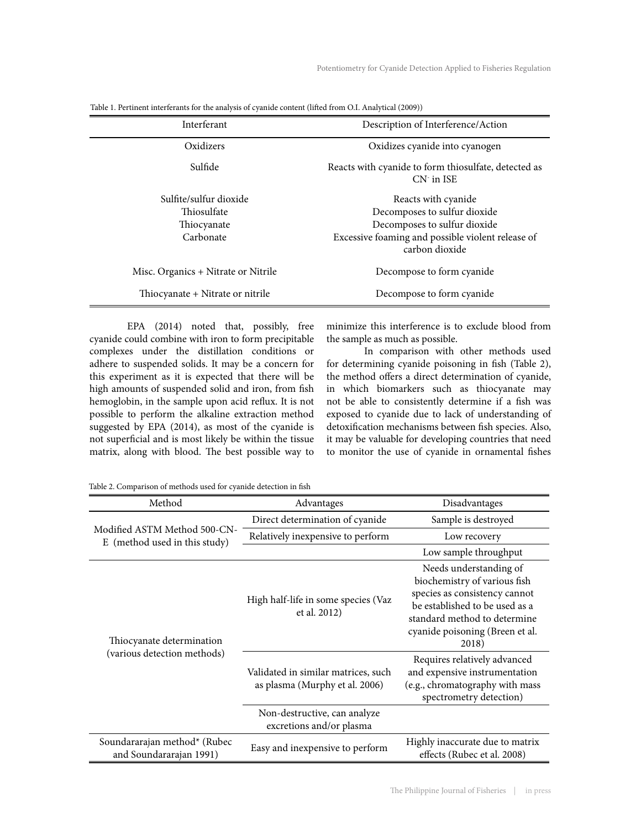| Interferant                                                       | Description of Interference/Action                                                                                                                         |  |
|-------------------------------------------------------------------|------------------------------------------------------------------------------------------------------------------------------------------------------------|--|
| Oxidizers                                                         | Oxidizes cyanide into cyanogen                                                                                                                             |  |
| Sulfide                                                           | Reacts with cyanide to form thiosulfate, detected as<br>$CN1$ in ISE                                                                                       |  |
| Sulfite/sulfur dioxide<br>Thiosulfate<br>Thiocyanate<br>Carbonate | Reacts with cyanide<br>Decomposes to sulfur dioxide<br>Decomposes to sulfur dioxide<br>Excessive foaming and possible violent release of<br>carbon dioxide |  |
| Misc. Organics + Nitrate or Nitrile                               | Decompose to form cyanide                                                                                                                                  |  |
| Thiocyanate + Nitrate or nitrile                                  | Decompose to form cyanide                                                                                                                                  |  |

Table 1. Pertinent interferants for the analysis of cyanide content (lifted from O.I. Analytical (2009))

EPA (2014) noted that, possibly, free cyanide could combine with iron to form precipitable complexes under the distillation conditions or adhere to suspended solids. It may be a concern for this experiment as it is expected that there will be high amounts of suspended solid and iron, from fish hemoglobin, in the sample upon acid reflux. It is not possible to perform the alkaline extraction method suggested by EPA (2014), as most of the cyanide is not superficial and is most likely be within the tissue matrix, along with blood. The best possible way to

minimize this interference is to exclude blood from the sample as much as possible.

In comparison with other methods used for determining cyanide poisoning in fish (Table 2), the method offers a direct determination of cyanide, in which biomarkers such as thiocyanate may not be able to consistently determine if a fish was exposed to cyanide due to lack of understanding of detoxification mechanisms between fish species. Also, it may be valuable for developing countries that need to monitor the use of cyanide in ornamental fishes

Table 2. Comparison of methods used for cyanide detection in fish

| Method                                                        | Advantages                                                            | Disadvantages                                                                                                                                                                                         |  |
|---------------------------------------------------------------|-----------------------------------------------------------------------|-------------------------------------------------------------------------------------------------------------------------------------------------------------------------------------------------------|--|
| Modified ASTM Method 500-CN-<br>E (method used in this study) | Direct determination of cyanide                                       | Sample is destroyed                                                                                                                                                                                   |  |
|                                                               | Relatively inexpensive to perform                                     | Low recovery                                                                                                                                                                                          |  |
|                                                               |                                                                       | Low sample throughput                                                                                                                                                                                 |  |
| Thiocyanate determination                                     | High half-life in some species (Vaz<br>et al. 2012)                   | Needs understanding of<br>biochemistry of various fish<br>species as consistency cannot<br>be established to be used as a<br>standard method to determine<br>cyanide poisoning (Breen et al.<br>2018) |  |
| (various detection methods)                                   | Validated in similar matrices, such<br>as plasma (Murphy et al. 2006) | Requires relatively advanced<br>and expensive instrumentation<br>(e.g., chromatography with mass<br>spectrometry detection)                                                                           |  |
|                                                               | Non-destructive, can analyze<br>excretions and/or plasma              |                                                                                                                                                                                                       |  |
| Soundararajan method* (Rubec<br>and Soundararajan 1991)       | Easy and inexpensive to perform                                       | Highly inaccurate due to matrix<br>effects (Rubec et al. 2008)                                                                                                                                        |  |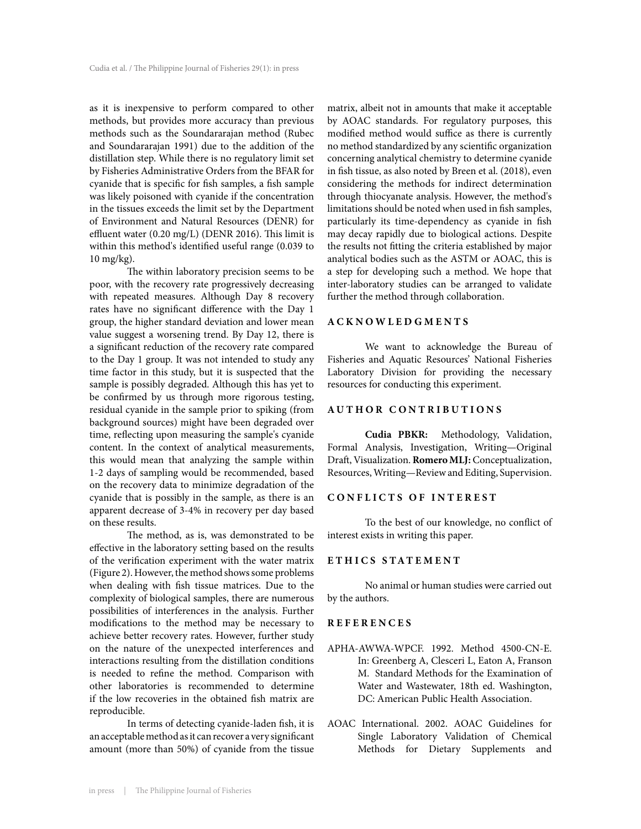as it is inexpensive to perform compared to other methods, but provides more accuracy than previous methods such as the Soundararajan method (Rubec and Soundararajan 1991) due to the addition of the distillation step. While there is no regulatory limit set by Fisheries Administrative Orders from the BFAR for cyanide that is specific for fish samples, a fish sample was likely poisoned with cyanide if the concentration in the tissues exceeds the limit set by the Department of Environment and Natural Resources (DENR) for effluent water (0.20 mg/L) (DENR 2016). This limit is within this method's identified useful range (0.039 to 10 mg/kg).

The within laboratory precision seems to be poor, with the recovery rate progressively decreasing with repeated measures. Although Day 8 recovery rates have no significant difference with the Day 1 group, the higher standard deviation and lower mean value suggest a worsening trend. By Day 12, there is a significant reduction of the recovery rate compared to the Day 1 group. It was not intended to study any time factor in this study, but it is suspected that the sample is possibly degraded. Although this has yet to be confirmed by us through more rigorous testing, residual cyanide in the sample prior to spiking (from background sources) might have been degraded over time, reflecting upon measuring the sample's cyanide content. In the context of analytical measurements, this would mean that analyzing the sample within 1-2 days of sampling would be recommended, based on the recovery data to minimize degradation of the cyanide that is possibly in the sample, as there is an apparent decrease of 3-4% in recovery per day based on these results.

The method, as is, was demonstrated to be effective in the laboratory setting based on the results of the verification experiment with the water matrix (Figure 2). However, the method shows some problems when dealing with fish tissue matrices. Due to the complexity of biological samples, there are numerous possibilities of interferences in the analysis. Further modifications to the method may be necessary to achieve better recovery rates. However, further study on the nature of the unexpected interferences and interactions resulting from the distillation conditions is needed to refine the method. Comparison with other laboratories is recommended to determine if the low recoveries in the obtained fish matrix are reproducible.

In terms of detecting cyanide-laden fish, it is an acceptable method as it can recover a very significant amount (more than 50%) of cyanide from the tissue

matrix, albeit not in amounts that make it acceptable by AOAC standards. For regulatory purposes, this modified method would suffice as there is currently no method standardized by any scientific organization concerning analytical chemistry to determine cyanide in fish tissue, as also noted by Breen et al. (2018), even considering the methods for indirect determination through thiocyanate analysis. However, the method's limitations should be noted when used in fish samples, particularly its time-dependency as cyanide in fish may decay rapidly due to biological actions. Despite the results not fitting the criteria established by major analytical bodies such as the ASTM or AOAC, this is a step for developing such a method. We hope that inter-laboratory studies can be arranged to validate further the method through collaboration.

#### **ACKNOWLEDGMENTS**

We want to acknowledge the Bureau of Fisheries and Aquatic Resources' National Fisheries Laboratory Division for providing the necessary resources for conducting this experiment.

### **AUTHOR CONTRIBUTIONS**

**Cudia PBKR:** Methodology, Validation, Formal Analysis, Investigation, Writing—Original Draft, Visualization. **Romero MLJ:** Conceptualization, Resources, Writing—Review and Editing, Supervision.

#### **CONFLICTS OF INTEREST**

To the best of our knowledge, no conflict of interest exists in writing this paper.

#### **ETHICS STATEMENT**

No animal or human studies were carried out by the authors.

## **REFERENCES**

- APHA-AWWA-WPCF. 1992. Method 4500-CN-E. In: Greenberg A, Clesceri L, Eaton A, Franson M. Standard Methods for the Examination of Water and Wastewater, 18th ed. Washington, DC: American Public Health Association.
- AOAC International. 2002. AOAC Guidelines for Single Laboratory Validation of Chemical Methods for Dietary Supplements and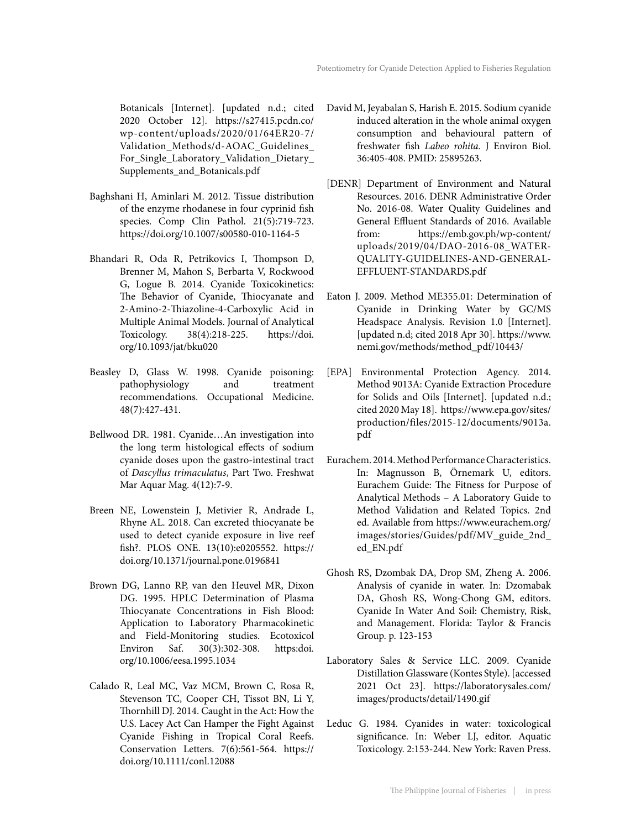Botanicals [Internet]. [updated n.d.; cited 2020 October 12]. https://s27415.pcdn.co/ wp-content/uploads/2020/01/64ER20-7/ Validation\_Methods/d-AOAC\_Guidelines\_ For\_Single\_Laboratory\_Validation\_Dietary\_ Supplements\_and\_Botanicals.pdf

- Baghshani H, Aminlari M. 2012. Tissue distribution of the enzyme rhodanese in four cyprinid fish species. Comp Clin Pathol. 21(5):719-723. https://doi.org/10.1007/s00580-010-1164-5
- Bhandari R, Oda R, Petrikovics I, Thompson D, Brenner M, Mahon S, Berbarta V, Rockwood G, Logue B. 2014. Cyanide Toxicokinetics: The Behavior of Cyanide, Thiocyanate and 2-Amino-2-Thiazoline-4-Carboxylic Acid in Multiple Animal Models. Journal of Analytical Toxicology. 38(4):218-225. https://doi. org/10.1093/jat/bku020
- Beasley D, Glass W. 1998. Cyanide poisoning: pathophysiology and treatment recommendations. Occupational Medicine. 48(7):427-431.
- Bellwood DR. 1981. Cyanide…An investigation into the long term histological effects of sodium cyanide doses upon the gastro-intestinal tract of *Dascyllus trimaculatus*, Part Two. Freshwat Mar Aquar Mag. 4(12):7-9.
- Breen NE, Lowenstein J, Metivier R, Andrade L, Rhyne AL. 2018. Can excreted thiocyanate be used to detect cyanide exposure in live reef fish?. PLOS ONE. 13(10):e0205552. https:// doi.org/10.1371/journal.pone.0196841
- Brown DG, Lanno RP, van den Heuvel MR, Dixon DG. 1995. HPLC Determination of Plasma Thiocyanate Concentrations in Fish Blood: Application to Laboratory Pharmacokinetic and Field-Monitoring studies. Ecotoxicol Environ Saf. 30(3):302-308. https:doi. org/10.1006/eesa.1995.1034
- Calado R, Leal MC, Vaz MCM, Brown C, Rosa R, Stevenson TC, Cooper CH, Tissot BN, Li Y, Thornhill DJ. 2014. Caught in the Act: How the U.S. Lacey Act Can Hamper the Fight Against Cyanide Fishing in Tropical Coral Reefs. Conservation Letters. 7(6):561-564. https:// doi.org/10.1111/conl.12088
- David M, Jeyabalan S, Harish E. 2015. Sodium cyanide induced alteration in the whole animal oxygen consumption and behavioural pattern of freshwater fish *Labeo rohita.* J Environ Biol. 36:405-408. PMID: 25895263.
- [DENR] Department of Environment and Natural Resources. 2016. DENR Administrative Order No. 2016-08. Water Quality Guidelines and General Effluent Standards of 2016. Available from: https://emb.gov.ph/wp-content/ uploads/2019/04/DAO-2016-08\_WATER-QUALITY-GUIDELINES-AND-GENERAL-EFFLUENT-STANDARDS.pdf
- Eaton J. 2009. Method ME355.01: Determination of Cyanide in Drinking Water by GC/MS Headspace Analysis. Revision 1.0 [Internet]. [updated n.d; cited 2018 Apr 30]. https://www. nemi.gov/methods/method\_pdf/10443/
- [EPA] Environmental Protection Agency. 2014. Method 9013A: Cyanide Extraction Procedure for Solids and Oils [Internet]. [updated n.d.; cited 2020 May 18]. https://www.epa.gov/sites/ production/files/2015-12/documents/9013a. pdf
- Eurachem. 2014. Method Performance Characteristics. In: Magnusson B, Örnemark U, editors. Eurachem Guide: The Fitness for Purpose of Analytical Methods – A Laboratory Guide to Method Validation and Related Topics. 2nd ed. Available from https://www.eurachem.org/ images/stories/Guides/pdf/MV\_guide\_2nd\_ ed\_EN.pdf
- Ghosh RS, Dzombak DA, Drop SM, Zheng A. 2006. Analysis of cyanide in water. In: Dzomabak DA, Ghosh RS, Wong-Chong GM, editors. Cyanide In Water And Soil: Chemistry, Risk, and Management. Florida: Taylor & Francis Group. p. 123-153
- Laboratory Sales & Service LLC. 2009. Cyanide Distillation Glassware (Kontes Style). [accessed 2021 Oct 23]. https://laboratorysales.com/ images/products/detail/1490.gif
- Leduc G. 1984. Cyanides in water: toxicological significance. In: Weber LJ, editor. Aquatic Toxicology. 2:153-244. New York: Raven Press.